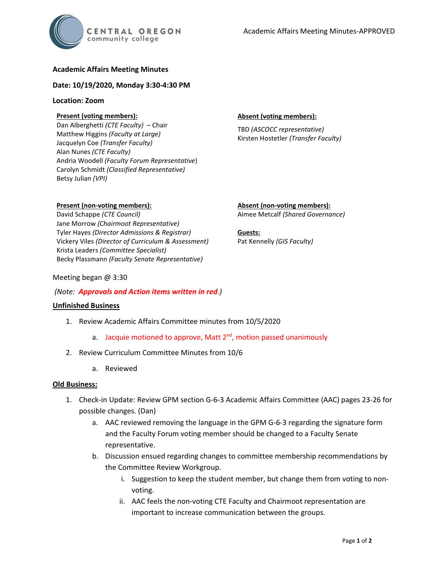# **Academic Affairs Meeting Minutes**

### **Date: 10/19/2020, Monday 3:30-4:30 PM**

#### **Location: Zoom**

# **Present (voting members):**

Dan Alberghetti *(CTE Faculty)* – Chair Matthew Higgins *(Faculty at Large)* Jacquelyn Coe *(Transfer Faculty)*  Alan Nunes *(CTE Faculty)* Andria Woodell *(Faculty Forum Representative*) Carolyn Schmidt *(Classified Representative)* Betsy Julian *(VPI)*

#### **Absent (voting members):**

TBD *(ASCOCC representative)* Kirsten Hostetler *(Transfer Faculty)*

# **Present (non-voting members):**

David Schappe *(CTE Council)* Jane Morrow *(Chairmoot Representative)* Tyler Hayes *(Director Admissions & Registrar)* Vickery Viles *(Director of Curriculum & Assessment)* Krista Leaders *(Committee Specialist)* Becky Plassmann *(Faculty Senate Representative)*

**Absent (non-voting members):** Aimee Metcalf *(Shared Governance)*

**Guests:** Pat Kennelly *(GIS Faculty)*

#### Meeting began @ 3:30

## *(Note: Approvals and Action items written in red.)*

## **Unfinished Business**

- 1. Review Academic Affairs Committee minutes from 10/5/2020
	- a. Jacquie motioned to approve, Matt  $2<sup>nd</sup>$ , motion passed unanimously
- 2. Review Curriculum Committee Minutes from 10/6
	- a. Reviewed

## **Old Business:**

- 1. Check-in Update: Review GPM section G-6-3 Academic Affairs Committee (AAC) pages 23-26 for possible changes. (Dan)
	- a. AAC reviewed removing the language in the GPM G-6-3 regarding the signature form and the Faculty Forum voting member should be changed to a Faculty Senate representative.
	- b. Discussion ensued regarding changes to committee membership recommendations by the Committee Review Workgroup.
		- i. Suggestion to keep the student member, but change them from voting to nonvoting.
		- ii. AAC feels the non-voting CTE Faculty and Chairmoot representation are important to increase communication between the groups.